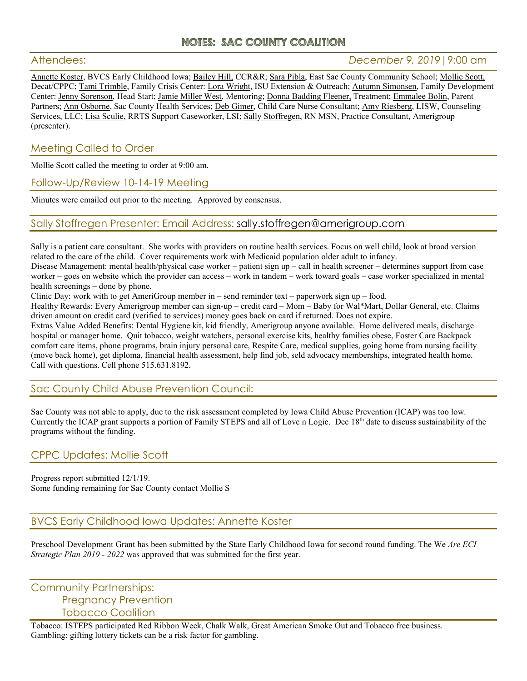# **NOTES: SAC COUNTY COALITION**

## Attendees: *December 9, 2019*|9:00 am

Annette Koster, BVCS Early Childhood Iowa; Bailey Hill, CCR&R; Sara Pibla, East Sac County Community School; Mollie Scott, Decat/CPPC; Tami Trimble, Family Crisis Center: Lora Wright, ISU Extension & Outreach; Autumn Simonsen, Family Development Center: Jenny Sorenson, Head Start; Jamie Miller West, Mentoring; Donna Badding Fleener, Treatment; Emmalee Bolin, Parent Partners; Ann Osborne, Sac County Health Services; Deb Gimer, Child Care Nurse Consultant; Amy Riesberg, LISW, Counseling Services, LLC; Lisa Sculie, RRTS Support Caseworker, LSI; Sally Stoffregen, RN MSN, Practice Consultant, Amerigroup (presenter).

## Meeting Called to Order

Mollie Scott called the meeting to order at 9:00 am.

Follow-Up/Review 10-14-19 Meeting

Minutes were emailed out prior to the meeting. Approved by consensus.

### Sally Stoffregen Presenter: Email Address: sally.stoffregen@amerigroup.com

Sally is a patient care consultant. She works with providers on routine health services. Focus on well child, look at broad version related to the care of the child. Cover requirements work with Medicaid population older adult to infancy.

Disease Management: mental health/physical case worker – patient sign up – call in health screener – determines support from case worker – goes on website which the provider can access – work in tandem – work toward goals – case worker specialized in mental health screenings – done by phone.

Clinic Day: work with to get AmeriGroup member in – send reminder text – paperwork sign up – food.

Healthy Rewards: Every Amerigroup member can sign-up – credit card – Mom – Baby for Wal\*Mart, Dollar General, etc. Claims driven amount on credit card (verified to services) money goes back on card if returned. Does not expire.

Extras Value Added Benefits: Dental Hygiene kit, kid friendly, Amerigroup anyone available. Home delivered meals, discharge hospital or manager home. Quit tobacco, weight watchers, personal exercise kits, healthy families obese, Foster Care Backpack comfort care items, phone programs, brain injury personal care, Respite Care, medical supplies, going home from nursing facility (move back home), get diploma, financial health assessment, help find job, seld advocacy memberships, integrated health home. Call with questions. Cell phone 515.631.8192.

## Sac County Child Abuse Prevention Council:

Sac County was not able to apply, due to the risk assessment completed by Iowa Child Abuse Prevention (ICAP) was too low. Currently the ICAP grant supports a portion of Family STEPS and all of Love n Logic. Dec 18<sup>th</sup> date to discuss sustainability of the programs without the funding.

#### CPPC Updates: Mollie Scott

Progress report submitted 12/1/19. Some funding remaining for Sac County contact Mollie S

## BVCS Early Childhood Iowa Updates: Annette Koster

Preschool Development Grant has been submitted by the State Early Childhood Iowa for second round funding. The We *Are ECI Strategic Plan 2019 - 2022* was approved that was submitted for the first year.

Community Partnerships: Pregnancy Prevention Tobacco Coalition

Tobacco: ISTEPS participated Red Ribbon Week, Chalk Walk, Great American Smoke Out and Tobacco free business. Gambling: gifting lottery tickets can be a risk factor for gambling.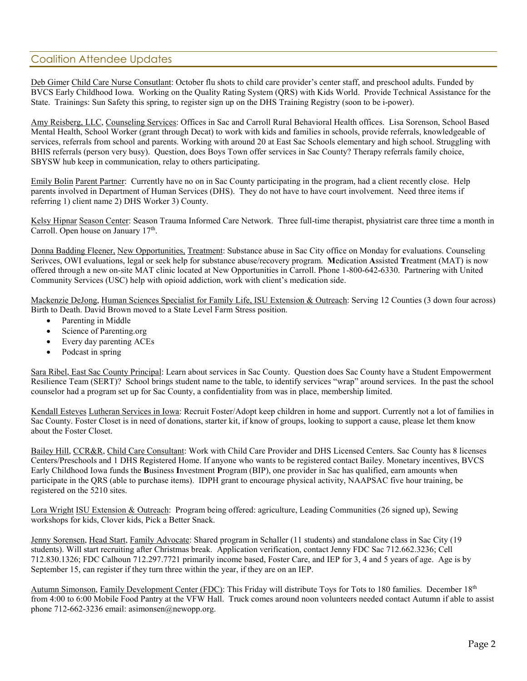## Coalition Attendee Updates

Deb Gimer Child Care Nurse Consutlant: October flu shots to child care provider's center staff, and preschool adults. Funded by BVCS Early Childhood Iowa. Working on the Quality Rating System (QRS) with Kids World. Provide Technical Assistance for the State. Trainings: Sun Safety this spring, to register sign up on the DHS Training Registry (soon to be i-power).

Amy Reisberg, LLC, Counseling Services: Offices in Sac and Carroll Rural Behavioral Health offices. Lisa Sorenson, School Based Mental Health, School Worker (grant through Decat) to work with kids and families in schools, provide referrals, knowledgeable of services, referrals from school and parents. Working with around 20 at East Sac Schools elementary and high school. Struggling with BHIS referrals (person very busy). Question, does Boys Town offer services in Sac County? Therapy referrals family choice, SBYSW hub keep in communication, relay to others participating.

Emily Bolin Parent Partner: Currently have no on in Sac County participating in the program, had a client recently close. Help parents involved in Department of Human Services (DHS). They do not have to have court involvement. Need three items if referring 1) client name 2) DHS Worker 3) County.

Kelsy Hipnar Season Center: Season Trauma Informed Care Network. Three full-time therapist, physiatrist care three time a month in Carroll. Open house on January 17<sup>th</sup>.

Donna Badding Fleener, New Opportunities, Treatment: Substance abuse in Sac City office on Monday for evaluations. Counseling Serivces, OWI evaluations, legal or seek help for substance abuse/recovery program. **M**edication **A**ssisted **T**reatment (MAT) is now offered through a new on-site MAT clinic located at New Opportunities in Carroll. Phone 1-800-642-6330. Partnering with United Community Services (USC) help with opioid addiction, work with client's medication side.

Mackenzie DeJong, Human Sciences Specialist for Family Life, ISU Extension & Outreach: Serving 12 Counties (3 down four across) Birth to Death. David Brown moved to a State Level Farm Stress position.

- Parenting in Middle
- Science of Parenting.org
- Every day parenting ACEs
- Podcast in spring

Sara Ribel, East Sac County Principal: Learn about services in Sac County. Question does Sac County have a Student Empowerment Resilience Team (SERT)? School brings student name to the table, to identify services "wrap" around services. In the past the school counselor had a program set up for Sac County, a confidentiality from was in place, membership limited.

Kendall Esteves Lutheran Services in Iowa: Recruit Foster/Adopt keep children in home and support. Currently not a lot of families in Sac County. Foster Closet is in need of donations, starter kit, if know of groups, looking to support a cause, please let them know about the Foster Closet.

Bailey Hill, CCR&R, Child Care Consultant: Work with Child Care Provider and DHS Licensed Centers. Sac County has 8 licenses Centers/Preschools and 1 DHS Registered Home. If anyone who wants to be registered contact Bailey. Monetary incentives, BVCS Early Childhood Iowa funds the **B**usiness **I**nvestment **P**rogram (BIP), one provider in Sac has qualified, earn amounts when participate in the QRS (able to purchase items). IDPH grant to encourage physical activity, NAAPSAC five hour training, be registered on the 5210 sites.

Lora Wright ISU Extension & Outreach: Program being offered: agriculture, Leading Communities (26 signed up), Sewing workshops for kids, Clover kids, Pick a Better Snack.

Jenny Sorensen, Head Start, Family Advocate: Shared program in Schaller (11 students) and standalone class in Sac City (19 students). Will start recruiting after Christmas break. Application verification, contact Jenny FDC Sac 712.662.3236; Cell 712.830.1326; FDC Calhoun 712.297.7721 primarily income based, Foster Care, and IEP for 3, 4 and 5 years of age. Age is by September 15, can register if they turn three within the year, if they are on an IEP.

Autumn Simonson, Family Development Center (FDC): This Friday will distribute Toys for Tots to 180 families. December 18<sup>th</sup> from 4:00 to 6:00 Mobile Food Pantry at the VFW Hall. Truck comes around noon volunteers needed contact Autumn if able to assist phone 712-662-3236 email: asimonsen@newopp.org.